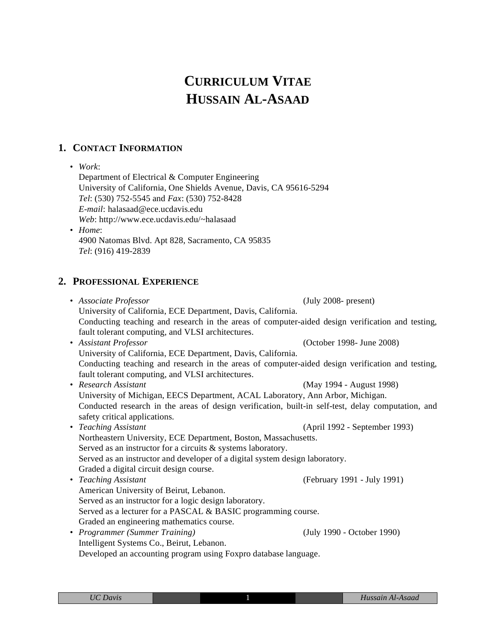# **CURRICULUM VITAE HUSSAIN AL-ASAAD**

## **1. CONTACT INFORMATION**

• *Work*:

Department of Electrical & Computer Engineering University of California, One Shields Avenue, Davis, CA 95616-5294 *Tel*: (530) 752-5545 and *Fax*: (530) 752-8428 *E-mail*: halasaad@ece.ucdavis.edu *Web*: http://www.ece.ucdavis.edu/~halasaad • *Home*:

4900 Natomas Blvd. Apt 828, Sacramento, CA 95835 *Tel*: (916) 419-2839

## **2. PROFESSIONAL EXPERIENCE**

• *Associate Professor* (July 2008- present) University of California, ECE Department, Davis, California. Conducting teaching and research in the areas of computer-aided design verification and testing, fault tolerant computing, and VLSI architectures. • *Assistant Professor* (October 1998- June 2008) University of California, ECE Department, Davis, California. Conducting teaching and research in the areas of computer-aided design verification and testing, fault tolerant computing, and VLSI architectures. • *Research Assistant* (May 1994 - August 1998) University of Michigan, EECS Department, ACAL Laboratory, Ann Arbor, Michigan. Conducted research in the areas of design verification, built-in self-test, delay computation, and safety critical applications. • *Teaching Assistant* (April 1992 - September 1993) Northeastern University, ECE Department, Boston, Massachusetts. Served as an instructor for a circuits & systems laboratory. Served as an instructor and developer of a digital system design laboratory. Graded a digital circuit design course. • *Teaching Assistant* (February 1991 - July 1991) American University of Beirut, Lebanon. Served as an instructor for a logic design laboratory. Served as a lecturer for a PASCAL & BASIC programming course. Graded an engineering mathematics course. • *Programmer (Summer Training)* (July 1990 - October 1990) Intelligent Systems Co., Beirut, Lebanon. Developed an accounting program using Foxpro database language.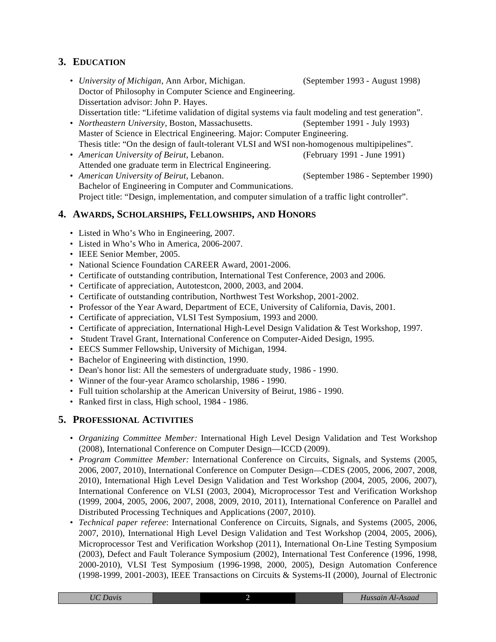# **3. EDUCATION**

- *University of Michigan*, Ann Arbor, Michigan. (September 1993 August 1998) Doctor of Philosophy in Computer Science and Engineering. Dissertation advisor: John P. Hayes. Dissertation title: "Lifetime validation of digital systems via fault modeling and test generation".
- *Northeastern University*, Boston, Massachusetts. (September 1991 July 1993) Master of Science in Electrical Engineering. Major: Computer Engineering. Thesis title: "On the design of fault-tolerant VLSI and WSI non-homogenous multipipelines".
- *American University of Beirut*, Lebanon. (February 1991 June 1991) Attended one graduate term in Electrical Engineering.
- *American University of Beirut*, Lebanon. (September 1986 September 1990) Bachelor of Engineering in Computer and Communications. Project title: "Design, implementation, and computer simulation of a traffic light controller".

# **4. AWARDS, SCHOLARSHIPS, FELLOWSHIPS, AND HONORS**

- Listed in Who's Who in Engineering, 2007.
- Listed in Who's Who in America, 2006-2007.
- IEEE Senior Member, 2005.
- National Science Foundation CAREER Award, 2001-2006.
- Certificate of outstanding contribution, International Test Conference, 2003 and 2006.
- Certificate of appreciation, Autotestcon, 2000, 2003, and 2004.
- Certificate of outstanding contribution, Northwest Test Workshop, 2001-2002.
- Professor of the Year Award, Department of ECE, University of California, Davis, 2001.
- Certificate of appreciation, VLSI Test Symposium, 1993 and 2000.
- Certificate of appreciation, International High-Level Design Validation & Test Workshop, 1997.
- Student Travel Grant, International Conference on Computer-Aided Design, 1995.
- EECS Summer Fellowship, University of Michigan, 1994.
- Bachelor of Engineering with distinction, 1990.
- Dean's honor list: All the semesters of undergraduate study, 1986 1990.
- Winner of the four-year Aramco scholarship, 1986 1990.
- Full tuition scholarship at the American University of Beirut, 1986 1990.
- Ranked first in class, High school, 1984 1986.

# **5. PROFESSIONAL ACTIVITIES**

- *Organizing Committee Member:* International High Level Design Validation and Test Workshop (2008), International Conference on Computer Design—ICCD (2009).
- *Program Committee Member:* International Conference on Circuits, Signals, and Systems (2005, 2006, 2007, 2010), International Conference on Computer Design—CDES (2005, 2006, 2007, 2008, 2010), International High Level Design Validation and Test Workshop (2004, 2005, 2006, 2007), International Conference on VLSI (2003, 2004), Microprocessor Test and Verification Workshop (1999, 2004, 2005, 2006, 2007, 2008, 2009, 2010, 2011), International Conference on Parallel and Distributed Processing Techniques and Applications (2007, 2010).
- *Technical paper referee*: International Conference on Circuits, Signals, and Systems (2005, 2006, 2007, 2010), International High Level Design Validation and Test Workshop (2004, 2005, 2006), Microprocessor Test and Verification Workshop (2011), International On-Line Testing Symposium (2003), Defect and Fault Tolerance Symposium (2002), International Test Conference (1996, 1998, 2000-2010), VLSI Test Symposium (1996-1998, 2000, 2005), Design Automation Conference (1998-1999, 2001-2003), IEEE Transactions on Circuits & Systems-II (2000), Journal of Electronic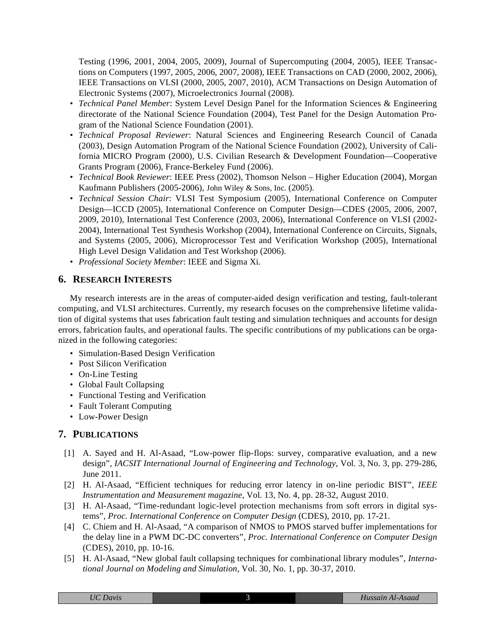Testing (1996, 2001, 2004, 2005, 2009), Journal of Supercomputing (2004, 2005), IEEE Transactions on Computers (1997, 2005, 2006, 2007, 2008), IEEE Transactions on CAD (2000, 2002, 2006), IEEE Transactions on VLSI (2000, 2005, 2007, 2010), ACM Transactions on Design Automation of Electronic Systems (2007), Microelectronics Journal (2008).

- *Technical Panel Member*: System Level Design Panel for the Information Sciences & Engineering directorate of the National Science Foundation (2004), Test Panel for the Design Automation Program of the National Science Foundation (2001).
- *Technical Proposal Reviewer*: Natural Sciences and Engineering Research Council of Canada (2003), Design Automation Program of the National Science Foundation (2002), University of California MICRO Program (2000), U.S. Civilian Research & Development Foundation—Cooperative Grants Program (2006), France-Berkeley Fund (2006).
- *Technical Book Reviewer*: IEEE Press (2002), Thomson Nelson Higher Education (2004), Morgan Kaufmann Publishers (2005-2006), John Wiley & Sons, Inc. (2005).
- *Technical Session Chair*: VLSI Test Symposium (2005), International Conference on Computer Design—ICCD (2005), International Conference on Computer Design—CDES (2005, 2006, 2007, 2009, 2010), International Test Conference (2003, 2006), International Conference on VLSI (2002- 2004), International Test Synthesis Workshop (2004), International Conference on Circuits, Signals, and Systems (2005, 2006), Microprocessor Test and Verification Workshop (2005), International High Level Design Validation and Test Workshop (2006).
- *Professional Society Member*: IEEE and Sigma Xi.

#### **6. RESEARCH INTERESTS**

My research interests are in the areas of computer-aided design verification and testing, fault-tolerant computing, and VLSI architectures. Currently, my research focuses on the comprehensive lifetime validation of digital systems that uses fabrication fault testing and simulation techniques and accounts for design errors, fabrication faults, and operational faults. The specific contributions of my publications can be organized in the following categories:

- Simulation-Based Design Verification
- Post Silicon Verification
- On-Line Testing
- Global Fault Collapsing
- Functional Testing and Verification
- Fault Tolerant Computing
- Low-Power Design

#### **7. PUBLICATIONS**

- [1] A. Sayed and H. Al-Asaad, "Low-power flip-flops: survey, comparative evaluation, and a new design", *IACSIT International Journal of Engineering and Technology*, Vol. 3, No. 3, pp. 279-286, June 2011.
- [2] H. Al-Asaad, "Efficient techniques for reducing error latency in on-line periodic BIST", *IEEE Instrumentation and Measurement magazine*, Vol. 13, No. 4, pp. 28-32, August 2010.
- [3] H. Al-Asaad, "Time-redundant logic-level protection mechanisms from soft errors in digital systems", *Proc. International Conference on Computer Design* (CDES), 2010, pp. 17-21.
- [4] C. Chiem and H. Al-Asaad, "A comparison of NMOS to PMOS starved buffer implementations for the delay line in a PWM DC-DC converters", *Proc. International Conference on Computer Design* (CDES), 2010, pp. 10-16.
- [5] H. Al-Asaad, "New global fault collapsing techniques for combinational library modules", *International Journal on Modeling and Simulation*, Vol. 30, No. 1, pp. 30-37, 2010.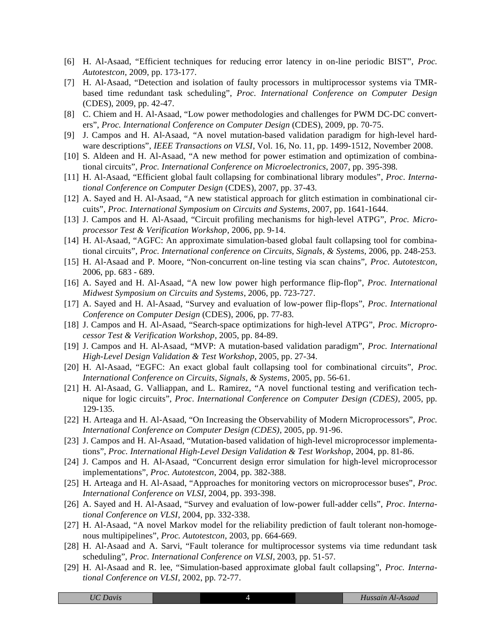- [6] H. Al-Asaad, "Efficient techniques for reducing error latency in on-line periodic BIST", *Proc. Autotestcon*, 2009, pp. 173-177.
- [7] H. Al-Asaad, "Detection and isolation of faulty processors in multiprocessor systems via TMRbased time redundant task scheduling", *Proc. International Conference on Computer Design* (CDES), 2009, pp. 42-47.
- [8] C. Chiem and H. Al-Asaad, "Low power methodologies and challenges for PWM DC-DC converters", *Proc. International Conference on Computer Design* (CDES), 2009, pp. 70-75.
- [9] J. Campos and H. Al-Asaad, "A novel mutation-based validation paradigm for high-level hardware descriptions", *IEEE Transactions on VLSI*, Vol. 16, No. 11, pp. 1499-1512, November 2008.
- [10] S. Aldeen and H. Al-Asaad, "A new method for power estimation and optimization of combinational circuits", *Proc. International Conference on Microelectronics*, 2007, pp. 395-398.
- [11] H. Al-Asaad, "Efficient global fault collapsing for combinational library modules", *Proc. International Conference on Computer Design* (CDES), 2007, pp. 37-43.
- [12] A. Sayed and H. Al-Asaad, "A new statistical approach for glitch estimation in combinational circuits", *Proc. International Symposium on Circuits and Systems,* 2007, pp. 1641-1644.
- [13] J. Campos and H. Al-Asaad, "Circuit profiling mechanisms for high-level ATPG", *Proc. Microprocessor Test & Verification Workshop*, 2006, pp. 9-14.
- [14] H. Al-Asaad, "AGFC: An approximate simulation-based global fault collapsing tool for combinational circuits", *Proc. International conference on Circuits, Signals, & Systems*, 2006, pp. 248-253.
- [15] H. Al-Asaad and P. Moore, "Non-concurrent on-line testing via scan chains", *Proc. Autotestcon*, 2006, pp. 683 - 689.
- [16] A. Sayed and H. Al-Asaad, "A new low power high performance flip-flop", *Proc. International Midwest Symposium on Circuits and Systems*, 2006, pp. 723-727.
- [17] A. Sayed and H. Al-Asaad, "Survey and evaluation of low-power flip-flops", *Proc. International Conference on Computer Design* (CDES), 2006, pp. 77-83.
- [18] J. Campos and H. Al-Asaad, "Search-space optimizations for high-level ATPG", *Proc. Microprocessor Test & Verification Workshop*, 2005, pp. 84-89.
- [19] J. Campos and H. Al-Asaad, "MVP: A mutation-based validation paradigm", *Proc. International High-Level Design Validation & Test Workshop*, 2005, pp. 27-34.
- [20] H. Al-Asaad, "EGFC: An exact global fault collapsing tool for combinational circuits", *Proc. International Conference on Circuits, Signals, & Systems*, 2005, pp. 56-61.
- [21] H. Al-Asaad, G. Valliappan, and L. Ramirez, "A novel functional testing and verification technique for logic circuits", *Proc. International Conference on Computer Design (CDES)*, 2005, pp. 129-135.
- [22] H. Arteaga and H. Al-Asaad, "On Increasing the Observability of Modern Microprocessors", *Proc. International Conference on Computer Design (CDES)*, 2005, pp. 91-96.
- [23] J. Campos and H. Al-Asaad, "Mutation-based validation of high-level microprocessor implementations", *Proc. International High-Level Design Validation & Test Workshop*, 2004, pp. 81-86.
- [24] J. Campos and H. Al-Asaad, "Concurrent design error simulation for high-level microprocessor implementations", *Proc. Autotestcon*, 2004, pp. 382-388.
- [25] H. Arteaga and H. Al-Asaad, "Approaches for monitoring vectors on microprocessor buses", *Proc. International Conference on VLSI*, 2004, pp. 393-398.
- [26] A. Sayed and H. Al-Asaad, "Survey and evaluation of low-power full-adder cells", *Proc. International Conference on VLSI*, 2004, pp. 332-338.
- [27] H. Al-Asaad, "A novel Markov model for the reliability prediction of fault tolerant non-homogenous multipipelines", *Proc. Autotestcon*, 2003, pp. 664-669.
- [28] H. Al-Asaad and A. Sarvi, "Fault tolerance for multiprocessor systems via time redundant task scheduling", *Proc. International Conference on VLSI*, 2003, pp. 51-57.
- [29] H. Al-Asaad and R. lee, "Simulation-based approximate global fault collapsing", *Proc. International Conference on VLSI*, 2002, pp. 72-77.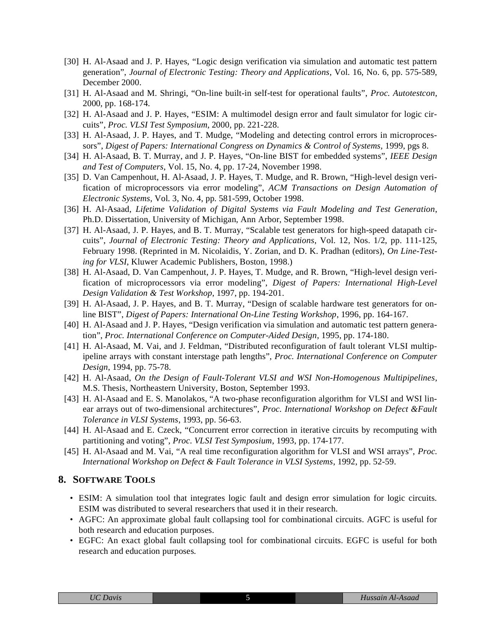- [30] H. Al-Asaad and J. P. Hayes, "Logic design verification via simulation and automatic test pattern generation", *Journal of Electronic Testing: Theory and Applications*, Vol. 16, No. 6, pp. 575-589, December 2000.
- [31] H. Al-Asaad and M. Shringi, "On-line built-in self-test for operational faults", *Proc. Autotestcon*, 2000, pp. 168-174.
- [32] H. Al-Asaad and J. P. Hayes, "ESIM: A multimodel design error and fault simulator for logic circuits", *Proc. VLSI Test Symposium*, 2000, pp. 221-228.
- [33] H. Al-Asaad, J. P. Hayes, and T. Mudge, "Modeling and detecting control errors in microprocessors", *Digest of Papers: International Congress on Dynamics & Control of Systems,* 1999, pgs 8.
- [34] H. Al-Asaad, B. T. Murray, and J. P. Hayes, "On-line BIST for embedded systems", *IEEE Design and Test of Computers*, Vol. 15, No. 4, pp. 17-24, November 1998.
- [35] D. Van Campenhout, H. Al-Asaad, J. P. Hayes, T. Mudge, and R. Brown, "High-level design verification of microprocessors via error modeling", *ACM Transactions on Design Automation of Electronic Systems*, Vol. 3, No. 4, pp. 581-599, October 1998.
- [36] H. Al-Asaad, *Lifetime Validation of Digital Systems via Fault Modeling and Test Generation*, Ph.D. Dissertation, University of Michigan, Ann Arbor, September 1998.
- [37] H. Al-Asaad, J. P. Hayes, and B. T. Murray, "Scalable test generators for high-speed datapath circuits", *Journal of Electronic Testing: Theory and Applications*, Vol. 12, Nos. 1/2, pp. 111-125, February 1998. (Reprinted in M. Nicolaidis, Y. Zorian, and D. K. Pradhan (editors), *On Line-Testing for VLSI*, Kluwer Academic Publishers, Boston, 1998.)
- [38] H. Al-Asaad, D. Van Campenhout, J. P. Hayes, T. Mudge, and R. Brown, "High-level design verification of microprocessors via error modeling", *Digest of Papers: International High-Level Design Validation & Test Workshop*, 1997, pp. 194-201.
- [39] H. Al-Asaad, J. P. Hayes, and B. T. Murray, "Design of scalable hardware test generators for online BIST", *Digest of Papers: International On-Line Testing Workshop*, 1996, pp. 164-167.
- [40] H. Al-Asaad and J. P. Hayes, "Design verification via simulation and automatic test pattern generation", *Proc. International Conference on Computer-Aided Design*, 1995, pp. 174-180.
- [41] H. Al-Asaad, M. Vai, and J. Feldman, "Distributed reconfiguration of fault tolerant VLSI multipipeline arrays with constant interstage path lengths", *Proc. International Conference on Computer Design*, 1994, pp. 75-78.
- [42] H. Al-Asaad, *On the Design of Fault-Tolerant VLSI and WSI Non-Homogenous Multipipelines*, M.S. Thesis, Northeastern University, Boston, September 1993.
- [43] H. Al-Asaad and E. S. Manolakos, "A two-phase reconfiguration algorithm for VLSI and WSI linear arrays out of two-dimensional architectures", *Proc. International Workshop on Defect &Fault Tolerance in VLSI Systems*, 1993, pp. 56-63.
- [44] H. Al-Asaad and E. Czeck, "Concurrent error correction in iterative circuits by recomputing with partitioning and voting", *Proc. VLSI Test Symposium*, 1993, pp. 174-177.
- [45] H. Al-Asaad and M. Vai, "A real time reconfiguration algorithm for VLSI and WSI arrays", *Proc. International Workshop on Defect & Fault Tolerance in VLSI Systems*, 1992, pp. 52-59.

#### **8. SOFTWARE TOOLS**

- ESIM: A simulation tool that integrates logic fault and design error simulation for logic circuits. ESIM was distributed to several researchers that used it in their research.
- AGFC: An approximate global fault collapsing tool for combinational circuits. AGFC is useful for both research and education purposes.
- EGFC: An exact global fault collapsing tool for combinational circuits. EGFC is useful for both research and education purposes.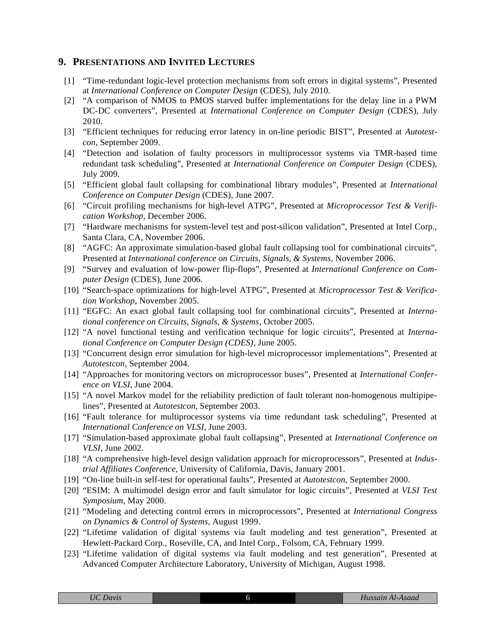## **9. PRESENTATIONS AND INVITED LECTURES**

- [1] "Time-redundant logic-level protection mechanisms from soft errors in digital systems", Presented at *International Conference on Computer Design* (CDES), July 2010.
- [2] "A comparison of NMOS to PMOS starved buffer implementations for the delay line in a PWM DC-DC converters", Presented at *International Conference on Computer Design* (CDES), July 2010.
- [3] "Efficient techniques for reducing error latency in on-line periodic BIST", Presented at *Autotestcon*, September 2009.
- [4] "Detection and isolation of faulty processors in multiprocessor systems via TMR-based time redundant task scheduling", Presented at *International Conference on Computer Design* (CDES), July 2009.
- [5] "Efficient global fault collapsing for combinational library modules", Presented at *International Conference on Computer Design* (CDES), June 2007.
- [6] "Circuit profiling mechanisms for high-level ATPG", Presented at *Microprocessor Test & Verification Workshop*, December 2006.
- [7] "Hardware mechanisms for system-level test and post-silicon validation", Presented at Intel Corp., Santa Clara, CA, November 2006.
- [8] "AGFC: An approximate simulation-based global fault collapsing tool for combinational circuits", Presented at *International conference on Circuits, Signals, & Systems*, November 2006.
- [9] "Survey and evaluation of low-power flip-flops", Presented at *International Conference on Computer Design* (CDES), June 2006.
- [10] "Search-space optimizations for high-level ATPG", Presented at *Microprocessor Test & Verification Workshop*, November 2005.
- [11] "EGFC: An exact global fault collapsing tool for combinational circuits", Presented at *International conference on Circuits, Signals, & Systems*, October 2005.
- [12] "A novel functional testing and verification technique for logic circuits", Presented at *International Conference on Computer Design (CDES)*, June 2005.
- [13] "Concurrent design error simulation for high-level microprocessor implementations", Presented at *Autotestcon*, September 2004.
- [14] "Approaches for monitoring vectors on microprocessor buses", Presented at *International Conference on VLSI*, June 2004.
- [15] "A novel Markov model for the reliability prediction of fault tolerant non-homogenous multipipelines", Presented at *Autotestcon*, September 2003.
- [16] "Fault tolerance for multiprocessor systems via time redundant task scheduling", Presented at *International Conference on VLSI*, June 2003.
- [17] "Simulation-based approximate global fault collapsing", Presented at *International Conference on VLSI*, June 2002.
- [18] "A comprehensive high-level design validation approach for microprocessors", Presented at *Industrial Affiliates Conference*, University of California, Davis, January 2001.
- [19] "On-line built-in self-test for operational faults", Presented at *Autotestcon*, September 2000.
- [20] "ESIM: A multimodel design error and fault simulator for logic circuits", Presented at *VLSI Test Symposium*, May 2000.
- [21] "Modeling and detecting control errors in microprocessors", Presented at *International Congress on Dynamics & Control of Systems,* August 1999.
- [22] "Lifetime validation of digital systems via fault modeling and test generation", Presented at Hewlett-Packard Corp., Roseville, CA, and Intel Corp., Folsom, CA, February 1999.
- [23] "Lifetime validation of digital systems via fault modeling and test generation", Presented at Advanced Computer Architecture Laboratory, University of Michigan, August 1998.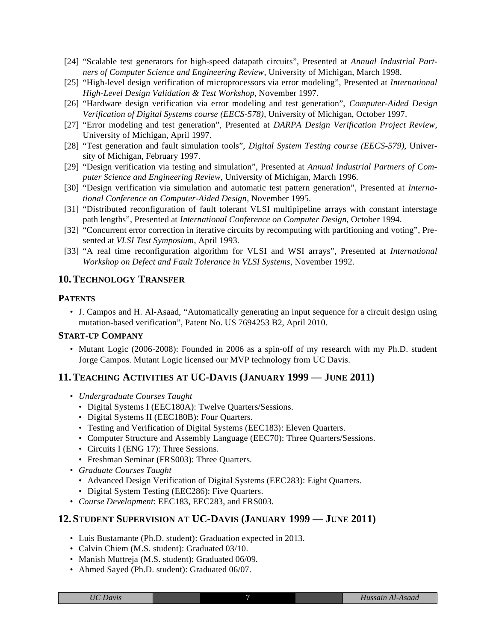- [24] "Scalable test generators for high-speed datapath circuits", Presented at *Annual Industrial Partners of Computer Science and Engineering Review*, University of Michigan, March 1998.
- [25] "High-level design verification of microprocessors via error modeling", Presented at *International High-Level Design Validation & Test Workshop*, November 1997.
- [26] "Hardware design verification via error modeling and test generation", *Computer-Aided Design Verification of Digital Systems course (EECS-578)*, University of Michigan, October 1997.
- [27] "Error modeling and test generation", Presented at *DARPA Design Verification Project Review*, University of Michigan, April 1997.
- [28] "Test generation and fault simulation tools", *Digital System Testing course (EECS-579)*, University of Michigan, February 1997.
- [29] "Design verification via testing and simulation", Presented at *Annual Industrial Partners of Computer Science and Engineering Review*, University of Michigan, March 1996.
- [30] "Design verification via simulation and automatic test pattern generation", Presented at *International Conference on Computer-Aided Design*, November 1995.
- [31] "Distributed reconfiguration of fault tolerant VLSI multipipeline arrays with constant interstage path lengths", Presented at *International Conference on Computer Design*, October 1994.
- [32] "Concurrent error correction in iterative circuits by recomputing with partitioning and voting", Presented at *VLSI Test Symposium*, April 1993.
- [33] "A real time reconfiguration algorithm for VLSI and WSI arrays", Presented at *International Workshop on Defect and Fault Tolerance in VLSI Systems*, November 1992.

## **10.TECHNOLOGY TRANSFER**

#### **PATENTS**

• J. Campos and H. Al-Asaad, "Automatically generating an input sequence for a circuit design using mutation-based verification", Patent No. US 7694253 B2, April 2010.

#### **START-UP COMPANY**

• Mutant Logic (2006-2008): Founded in 2006 as a spin-off of my research with my Ph.D. student Jorge Campos. Mutant Logic licensed our MVP technology from UC Davis.

## **11.TEACHING ACTIVITIES AT UC-DAVIS (JANUARY 1999 — JUNE 2011)**

- *Undergraduate Courses Taught*
	- Digital Systems I (EEC180A): Twelve Quarters/Sessions.
	- Digital Systems II (EEC180B): Four Quarters.
	- Testing and Verification of Digital Systems (EEC183): Eleven Quarters.
	- Computer Structure and Assembly Language (EEC70): Three Quarters/Sessions.
	- Circuits I (ENG 17): Three Sessions.
	- Freshman Seminar (FRS003): Three Quarters.
- *Graduate Courses Taught*
	- Advanced Design Verification of Digital Systems (EEC283): Eight Quarters.
	- Digital System Testing (EEC286): Five Quarters.
- *Course Development*: EEC183, EEC283, and FRS003.

## **12. STUDENT SUPERVISION AT UC-DAVIS (JANUARY 1999 — JUNE 2011)**

- Luis Bustamante (Ph.D. student): Graduation expected in 2013.
- Calvin Chiem (M.S. student): Graduated 03/10.
- Manish Muttreja (M.S. student): Graduated 06/09.
- Ahmed Sayed (Ph.D. student): Graduated 06/07.

| <b>UC</b> Davis |
|-----------------|
|                 |